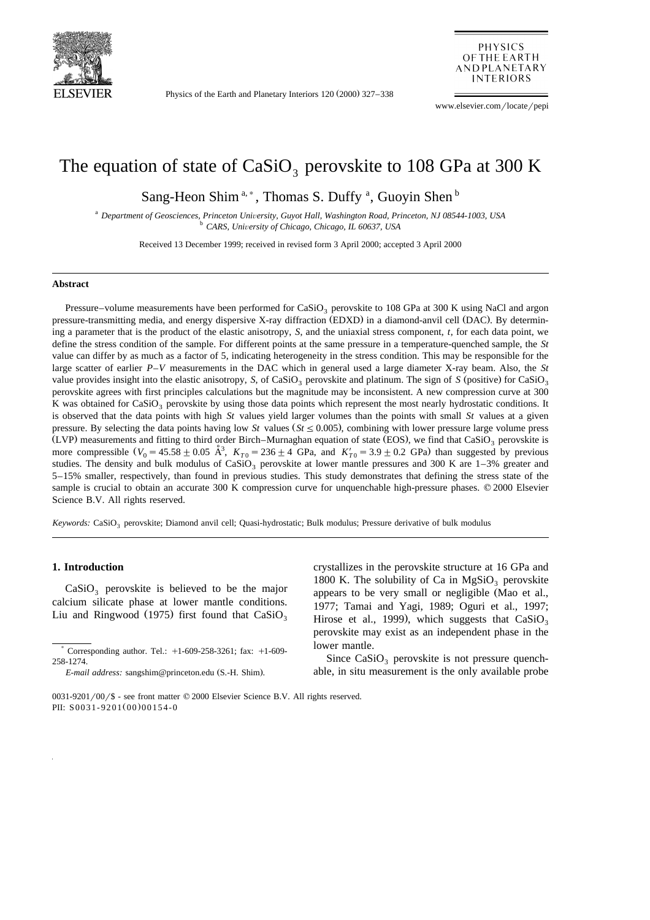

Physics of the Earth and Planetary Interiors 120 (2000) 327–338

**PHYSICS** OF THE EARTH **AND PLANETARY INTERIORS** 

www.elsevier.com/locate/pepi

# The equation of state of  $CaSiO<sub>3</sub>$  perovskite to 108 GPa at 300 K

Sang-Heon Shim<sup>a,\*</sup>, Thomas S. Duffy<sup>a</sup>, Guoyin Shen<sup>b</sup>

<sup>a</sup> *Department of Geosciences, Princeton Uni*Õ*ersity, Guyot Hall, Washington Road, Princeton, NJ 08544-1003, USA* <sup>b</sup> *CARS, Uni*Õ*ersity of Chicago, Chicago, IL 60637, USA*

Received 13 December 1999; received in revised form 3 April 2000; accepted 3 April 2000

#### **Abstract**

Pressure–volume measurements have been performed for  $CaSiO<sub>3</sub>$  perovskite to 108 GPa at 300 K using NaCl and argon pressure-transmitting media, and energy dispersive X-ray diffraction (EDXD) in a diamond-anvil cell (DAC). By determining a parameter that is the product of the elastic anisotropy, *S*, and the uniaxial stress component, *t*, for each data point, we define the stress condition of the sample. For different points at the same pressure in a temperature-quenched sample, the *St* value can differ by as much as a factor of 5, indicating heterogeneity in the stress condition. This may be responsible for the large scatter of earlier *P*–*V* measurements in the DAC which in general used a large diameter X-ray beam. Also, the *St* value provides insight into the elastic anisotropy, *S*, of CaSiO<sub>3</sub> perovskite and platinum. The sign of *S* (positive) for CaSiO<sub>3</sub> perovskite agrees with first principles calculations but the magnitude may be inconsistent. A new compression curve at 300 K was obtained for CaSiO<sub>3</sub> perovskite by using those data points which represent the most nearly hydrostatic conditions. It is observed that the data points with high *St* values yield larger volumes than the points with small *St* values at a given pressure. By selecting the data points having low *St* values  $(St \le 0.005)$ , combining with lower pressure large volume press (LVP) measurements and fitting to third order Birch–Murnaghan equation of state (EOS), we find that CaSiO<sub>3</sub> perovskite is more compressible  $(V_0 = 45.58 \pm 0.05 \text{ Å}^3$ ,  $K_{T0} = 236 \pm 4$  GPa, and  $K'_{T0} = 3.9 \pm 0.2$  GPa) than suggested by previous studies. The density and bulk modulus of CaSiO<sub>3</sub> perovskite at lower mantle pressures and 300 K are  $1-3%$  greater and 5–15% smaller, respectively, than found in previous studies. This study demonstrates that defining the stress state of the sample is crucial to obtain an accurate 300 K compression curve for unquenchable high-pressure phases. © 2000 Elsevier Science B.V. All rights reserved.

*Keywords:* CaSiO<sub>3</sub> perovskite; Diamond anvil cell; Quasi-hydrostatic; Bulk modulus; Pressure derivative of bulk modulus

# **1. Introduction**

 $CaSiO<sub>3</sub>$  perovskite is believed to be the major calcium silicate phase at lower mantle conditions. Liu and Ringwood (1975) first found that  $CaSiO<sub>3</sub>$ 

crystallizes in the perovskite structure at 16 GPa and 1800 K. The solubility of Ca in  $MgSiO_3$  perovskite appears to be very small or negligible (Mao et al., 1977; Tamai and Yagi, 1989; Oguri et al., 1997; Hirose et al., 1999), which suggests that  $CaSiO<sub>3</sub>$ perovskite may exist as an independent phase in the lower mantle.

Since  $CaSiO<sub>3</sub>$  perovskite is not pressure quenchable, in situ measurement is the only available probe

Corresponding author. Tel.:  $+1-609-258-3261$ ; fax:  $+1-609-$ 258-1274.

*E-mail address:* sangshim@princeton.edu (S.-H. Shim).

 $0031-9201/00/$ \$ - see front matter  $\odot$  2000 Elsevier Science B.V. All rights reserved. PII: S0031-9201(00)00154-0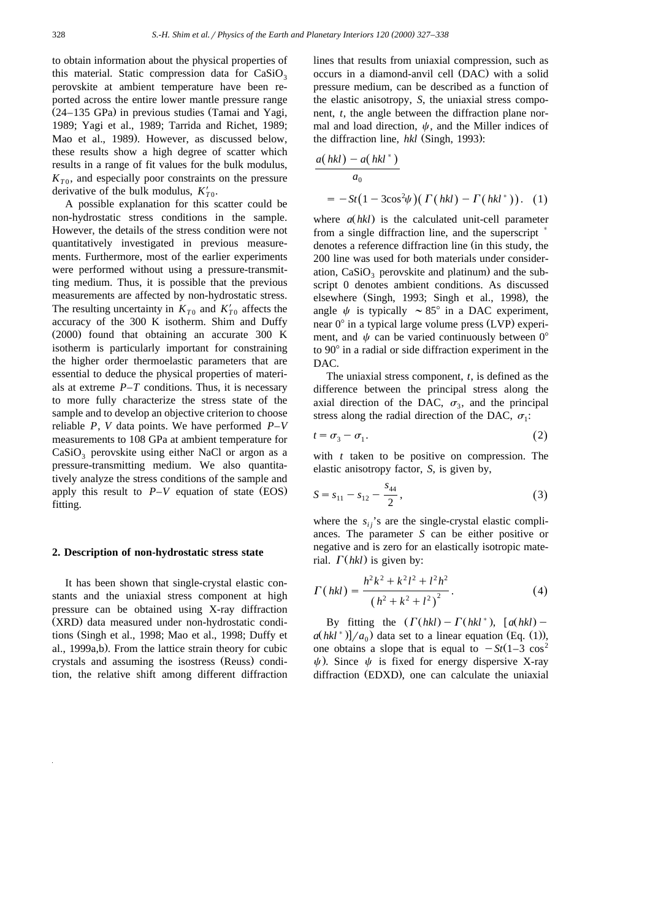to obtain information about the physical properties of this material. Static compression data for  $CaSiO<sub>3</sub>$ perovskite at ambient temperature have been reported across the entire lower mantle pressure range  $(24-135 \text{ GPa})$  in previous studies (Tamai and Yagi, 1989; Yagi et al., 1989; Tarrida and Richet, 1989; Mao et al., 1989). However, as discussed below, these results show a high degree of scatter which results in a range of fit values for the bulk modulus,  $K_{T0}$ , and especially poor constraints on the pressure derivative of the bulk modulus,  $K'_{T0}$ .

A possible explanation for this scatter could be non-hydrostatic stress conditions in the sample. However, the details of the stress condition were not quantitatively investigated in previous measurements. Furthermore, most of the earlier experiments were performed without using a pressure-transmitting medium. Thus, it is possible that the previous measurements are affected by non-hydrostatic stress. The resulting uncertainty in  $K_{T0}$  and  $K'_{T0}$  affects the accuracy of the 300 K isotherm. Shim and Duffy  $(2000)$  found that obtaining an accurate 300 K isotherm is particularly important for constraining the higher order thermoelastic parameters that are essential to deduce the physical properties of materials at extreme  $P-T$  conditions. Thus, it is necessary to more fully characterize the stress state of the sample and to develop an objective criterion to choose reliable *P*, *V* data points. We have performed *P*–*V* measurements to 108 GPa at ambient temperature for  $CaSiO<sub>3</sub>$  perovskite using either NaCl or argon as a pressure-transmitting medium. We also quantitatively analyze the stress conditions of the sample and apply this result to  $P-V$  equation of state (EOS) fitting.

#### **2. Description of non-hydrostatic stress state**

It has been shown that single-crystal elastic constants and the uniaxial stress component at high pressure can be obtained using X-ray diffraction (XRD) data measured under non-hydrostatic conditions (Singh et al., 1998; Mao et al., 1998; Duffy et al., 1999a,b). From the lattice strain theory for cubic crystals and assuming the isostress (Reuss) condition, the relative shift among different diffraction

lines that results from uniaxial compression, such as occurs in a diamond-anvil cell (DAC) with a solid pressure medium, can be described as a function of the elastic anisotropy, *S*, the uniaxial stress component, *t*, the angle between the diffraction plane normal and load direction,  $\psi$ , and the Miller indices of the diffraction line, *hkl* (Singh, 1993):

$$
\frac{a(hkl) - a(hkl^*)}{a_0}
$$
  
=  $-St(1 - 3\cos^2\psi)(\Gamma(hkl) - \Gamma(hkl^*))$ . (1)

where  $a(hkl)$  is the calculated unit-cell parameter from a single diffraction line, and the superscript  $\overline{\phantom{a}}$ denotes a reference diffraction line (in this study, the 200 line was used for both materials under consideration,  $CaSiO<sub>3</sub>$  perovskite and platinum) and the subscript 0 denotes ambient conditions. As discussed elsewhere (Singh, 1993; Singh et al., 1998), the angle  $\psi$  is typically  $\sim 85^\circ$  in a DAC experiment, near  $0^{\circ}$  in a typical large volume press (LVP) experiment, and  $\psi$  can be varied continuously between 0° to  $90^\circ$  in a radial or side diffraction experiment in the DAC.

The uniaxial stress component, *t*, is defined as the difference between the principal stress along the axial direction of the DAC,  $\sigma_3$ , and the principal stress along the radial direction of the DAC,  $\sigma_1$ :

$$
t = \sigma_3 - \sigma_1. \tag{2}
$$

with *t* taken to be positive on compression. The elastic anisotropy factor, *S*, is given by,

$$
S = s_{11} - s_{12} - \frac{s_{44}}{2},\tag{3}
$$

where the  $s_{ij}$ 's are the single-crystal elastic compliances. The parameter *S* can be either positive or negative and is zero for an elastically isotropic material.  $\Gamma$ (*hkl*) is given by:

$$
\Gamma(hkl) = \frac{h^2k^2 + k^2l^2 + l^2h^2}{(h^2 + k^2 + l^2)^2}.
$$
\n(4)

By fitting the  $(\Gamma(hkl) - \Gamma(hkl^*), [\alpha(hkl) - \gamma(kk)]$  $a(hkl^*)$ / $a_0$ ) data set to a linear equation (Eq. (1)), one obtains a slope that is equal to  $-ft(1-3 \cos^2 \theta)$  $\psi$ ). Since  $\psi$  is fixed for energy dispersive X-ray diffraction (EDXD), one can calculate the uniaxial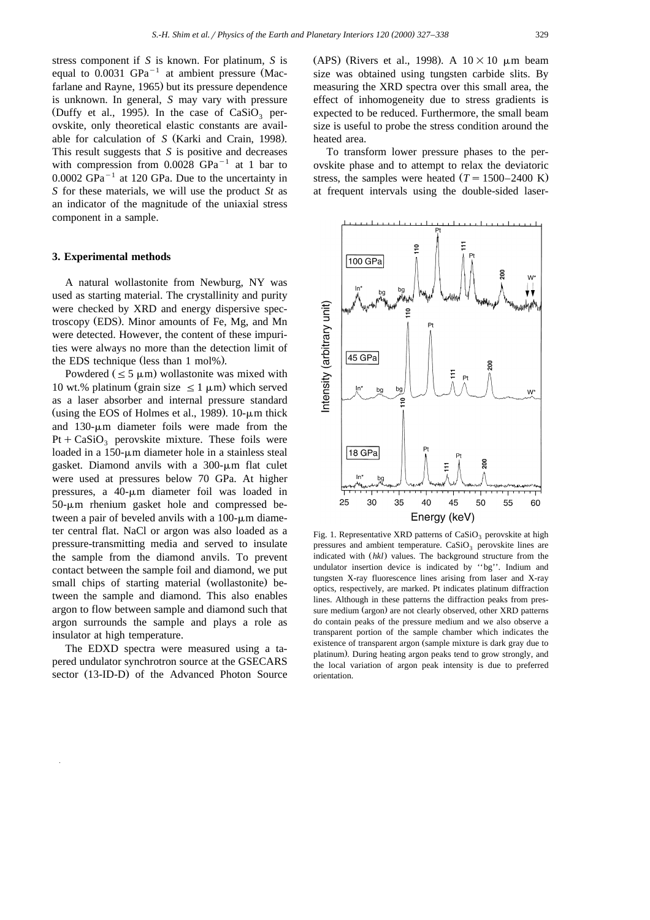stress component if *S* is known. For platinum, *S* is equal to 0.0031 GPa<sup> $-1$ </sup> at ambient pressure (Macfarlane and Rayne, 1965) but its pressure dependence is unknown. In general, *S* may vary with pressure (Duffy et al., 1995). In the case of  $CaSiO<sub>3</sub>$  perovskite, only theoretical elastic constants are available for calculation of *S* (Karki and Crain, 1998). This result suggests that *S* is positive and decreases with compression from  $0.0028$  GPa<sup>-1</sup> at 1 bar to  $0.0002$  GPa<sup>-1</sup> at 120 GPa. Due to the uncertainty in *S* for these materials, we will use the product *St* as an indicator of the magnitude of the uniaxial stress component in a sample.

# **3. Experimental methods**

A natural wollastonite from Newburg, NY was used as starting material. The crystallinity and purity were checked by XRD and energy dispersive spectroscopy (EDS). Minor amounts of Fe, Mg, and Mn were detected. However, the content of these impurities were always no more than the detection limit of the EDS technique (less than  $1 \text{ mol} \%$ ).

Powdered  $(\leq 5 \mu m)$  wollastonite was mixed with 10 wt.% platinum (grain size  $\leq 1 \mu$ m) which served as a laser absorber and internal pressure standard (using the EOS of Holmes et al., 1989).  $10$ - $\mu$ m thick and  $130$ - $\mu$ m diameter foils were made from the Pt +  $CaSiO_3$  perovskite mixture. These foils were loaded in a  $150$ - $\mu$ m diameter hole in a stainless steal gasket. Diamond anvils with a  $300-\mu m$  flat culet were used at pressures below 70 GPa. At higher pressures, a  $40$ - $\mu$ m diameter foil was loaded in  $50-\mu m$  rhenium gasket hole and compressed between a pair of beveled anvils with a  $100$ - $\mu$ m diameter central flat. NaCl or argon was also loaded as a pressure-transmitting media and served to insulate the sample from the diamond anvils. To prevent contact between the sample foil and diamond, we put small chips of starting material (wollastonite) between the sample and diamond. This also enables argon to flow between sample and diamond such that argon surrounds the sample and plays a role as insulator at high temperature.

The EDXD spectra were measured using a tapered undulator synchrotron source at the GSECARS sector (13-ID-D) of the Advanced Photon Source

(APS) (Rivers et al., 1998). A  $10\times10$  µm beam size was obtained using tungsten carbide slits. By measuring the XRD spectra over this small area, the effect of inhomogeneity due to stress gradients is expected to be reduced. Furthermore, the small beam size is useful to probe the stress condition around the heated area.

To transform lower pressure phases to the perovskite phase and to attempt to relax the deviatoric stress, the samples were heated  $(T = 1500-2400 \text{ K})$ at frequent intervals using the double-sided laser-



Fig. 1. Representative XRD patterns of  $CaSiO<sub>3</sub>$  perovskite at high pressures and ambient temperature.  $CaSiO<sub>3</sub>$  perovskite lines are indicated with  $(hkl)$  values. The background structure from the undulator insertion device is indicated by ''bg''. Indium and tungsten X-ray fluorescence lines arising from laser and X-ray optics, respectively, are marked. Pt indicates platinum diffraction lines. Although in these patterns the diffraction peaks from pressure medium (argon) are not clearly observed, other XRD patterns do contain peaks of the pressure medium and we also observe a transparent portion of the sample chamber which indicates the existence of transparent argon (sample mixture is dark gray due to platinum). During heating argon peaks tend to grow strongly, and the local variation of argon peak intensity is due to preferred orientation.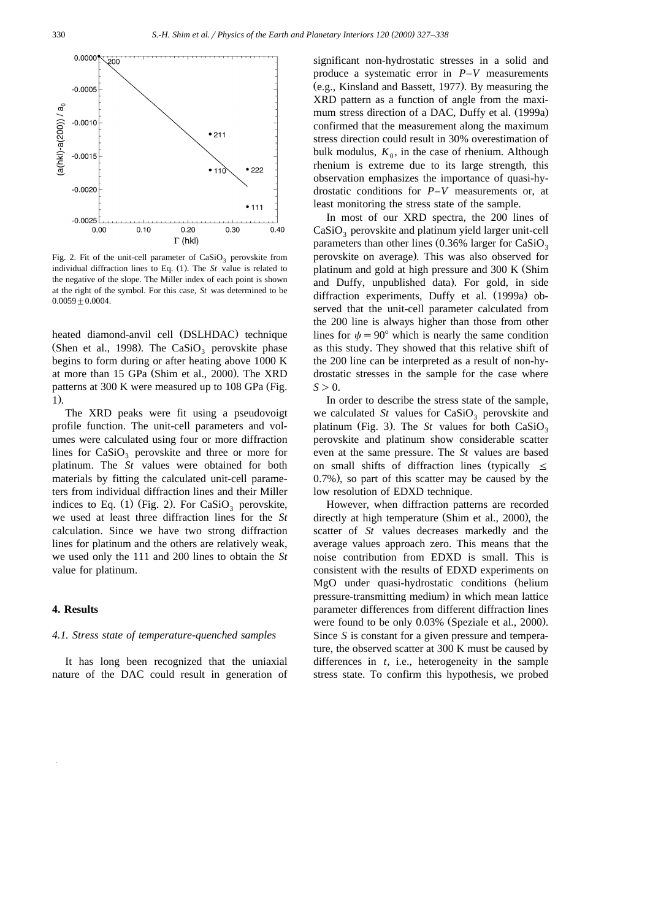

Fig. 2. Fit of the unit-cell parameter of  $CaSiO<sub>3</sub>$  perovskite from individual diffraction lines to Eq.  $(1)$ . The *St* value is related to the negative of the slope. The Miller index of each point is shown at the right of the symbol. For this case, *St* was determined to be  $0.0059 + 0.0004$ .

heated diamond-anvil cell (DSLHDAC) technique (Shen et al., 1998). The  $CaSiO<sub>3</sub>$  perovskite phase begins to form during or after heating above 1000 K at more than 15 GPa (Shim et al., 2000). The XRD patterns at  $300$  K were measured up to  $108$  GPa (Fig. 1).

The XRD peaks were fit using a pseudovoigt profile function. The unit-cell parameters and volumes were calculated using four or more diffraction lines for  $CaSiO<sub>3</sub>$  perovskite and three or more for platinum. The *St* values were obtained for both materials by fitting the calculated unit-cell parameters from individual diffraction lines and their Miller indices to Eq. (1) (Fig. 2). For  $CaSiO<sub>3</sub>$  perovskite, we used at least three diffraction lines for the *St* calculation. Since we have two strong diffraction lines for platinum and the others are relatively weak, we used only the 111 and 200 lines to obtain the *St* value for platinum.

#### **4. Results**

#### *4.1. Stress state of temperature-quenched samples*

It has long been recognized that the uniaxial nature of the DAC could result in generation of

significant non-hydrostatic stresses in a solid and produce a systematic error in *P*–*V* measurements  $(e.g.,$  Kinsland and Bassett, 1977). By measuring the XRD pattern as a function of angle from the maximum stress direction of a DAC, Duffy et al. (1999a) confirmed that the measurement along the maximum stress direction could result in 30% overestimation of bulk modulus,  $K_0$ , in the case of rhenium. Although rhenium is extreme due to its large strength, this observation emphasizes the importance of quasi-hydrostatic conditions for *P*–*V* measurements or, at least monitoring the stress state of the sample.

In most of our XRD spectra, the 200 lines of  $CaSiO<sub>3</sub>$  perovskite and platinum yield larger unit-cell parameters than other lines  $(0.36\%$  larger for CaSiO<sub>3</sub> perovskite on average). This was also observed for platinum and gold at high pressure and 300 K (Shim and Duffy, unpublished data). For gold, in side diffraction experiments, Duffy et al. (1999a) observed that the unit-cell parameter calculated from the 200 line is always higher than those from other lines for  $\psi = 90^\circ$  which is nearly the same condition as this study. They showed that this relative shift of the 200 line can be interpreted as a result of non-hydrostatic stresses in the sample for the case where  $S>0$ .

In order to describe the stress state of the sample, we calculated *St* values for  $CaSiO<sub>3</sub>$  perovskite and platinum (Fig. 3). The  $St$  values for both  $CaSiO<sub>3</sub>$ perovskite and platinum show considerable scatter even at the same pressure. The *St* values are based on small shifts of diffraction lines (typically  $\leq$ 0.7%), so part of this scatter may be caused by the low resolution of EDXD technique.

However, when diffraction patterns are recorded directly at high temperature (Shim et al., 2000), the scatter of *St* values decreases markedly and the average values approach zero. This means that the noise contribution from EDXD is small. This is consistent with the results of EDXD experiments on MgO under quasi-hydrostatic conditions (helium pressure-transmitting medium) in which mean lattice parameter differences from different diffraction lines were found to be only 0.03% (Speziale et al., 2000). Since *S* is constant for a given pressure and temperature, the observed scatter at 300 K must be caused by differences in *t*, i.e., heterogeneity in the sample stress state. To confirm this hypothesis, we probed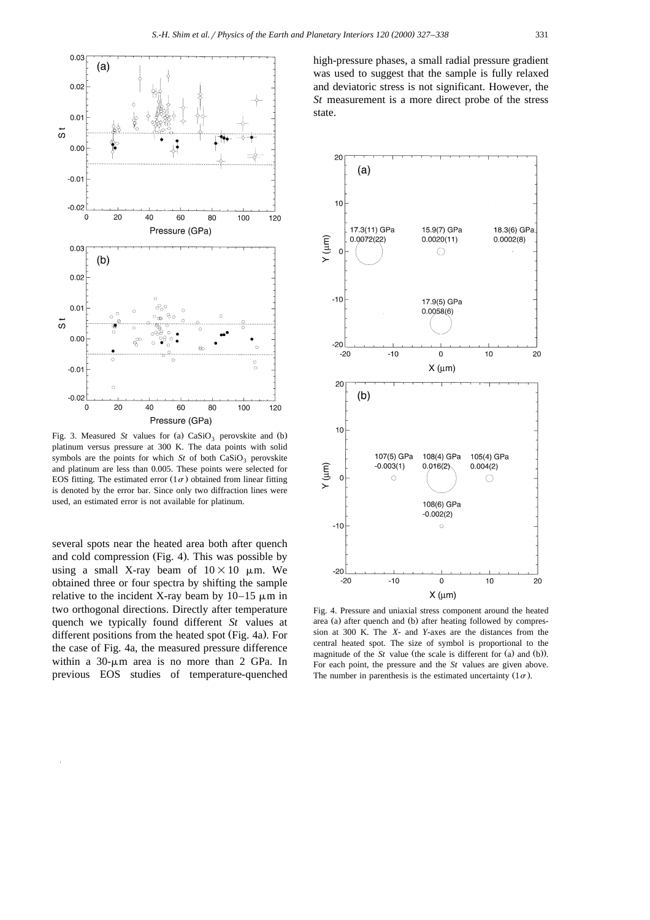

Fig. 3. Measured *St* values for (a)  $CaSiO<sub>3</sub>$  perovskite and (b) platinum versus pressure at 300 K. The data points with solid symbols are the points for which  $St$  of both  $CaSiO<sub>3</sub>$  perovskite and platinum are less than 0.005. These points were selected for EOS fitting. The estimated error  $(1\sigma)$  obtained from linear fitting is denoted by the error bar. Since only two diffraction lines were used, an estimated error is not available for platinum.

several spots near the heated area both after quench and cold compression (Fig. 4). This was possible by using a small X-ray beam of  $10\times10$  µm. We obtained three or four spectra by shifting the sample relative to the incident X-ray beam by  $10-15 \mu m$  in two orthogonal directions. Directly after temperature quench we typically found different *St* values at different positions from the heated spot (Fig. 4a). For the case of Fig. 4a, the measured pressure difference within a  $30$ - $\mu$ m area is no more than 2 GPa. In previous EOS studies of temperature-quenched high-pressure phases, a small radial pressure gradient was used to suggest that the sample is fully relaxed and deviatoric stress is not significant. However, the *St* measurement is a more direct probe of the stress state.



Fig. 4. Pressure and uniaxial stress component around the heated area (a) after quench and (b) after heating followed by compression at 300 K. The *X*- and *Y*-axes are the distances from the central heated spot. The size of symbol is proportional to the magnitude of the  $St$  value (the scale is different for (a) and (b)). For each point, the pressure and the *St* values are given above. The number in parenthesis is the estimated uncertainty  $(1\sigma)$ .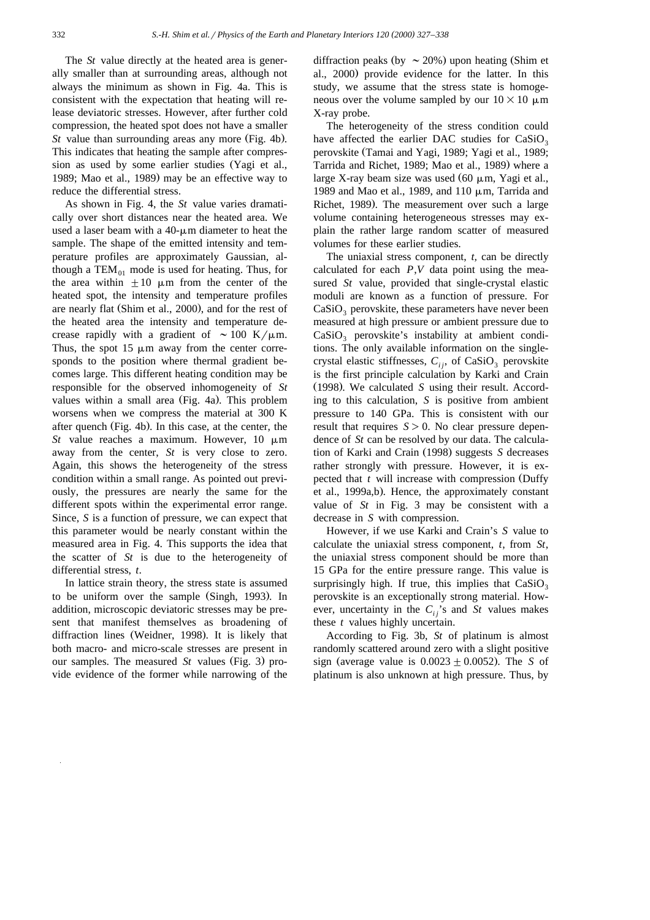The *St* value directly at the heated area is generally smaller than at surrounding areas, although not always the minimum as shown in Fig. 4a. This is consistent with the expectation that heating will release deviatoric stresses. However, after further cold compression, the heated spot does not have a smaller *St* value than surrounding areas any more (Fig. 4b). This indicates that heating the sample after compression as used by some earlier studies (Yagi et al., 1989; Mao et al., 1989) may be an effective way to reduce the differential stress.

As shown in Fig. 4, the *St* value varies dramatically over short distances near the heated area. We used a laser beam with a  $40 - \mu m$  diameter to heat the sample. The shape of the emitted intensity and temperature profiles are approximately Gaussian, although a TEM $_{01}$  mode is used for heating. Thus, for the area within  $\pm 10 \mu m$  from the center of the heated spot, the intensity and temperature profiles are nearly flat (Shim et al., 2000), and for the rest of the heated area the intensity and temperature decrease rapidly with a gradient of  $\sim 100 \text{ K}/\mu\text{m}$ . Thus, the spot  $15 \mu m$  away from the center corresponds to the position where thermal gradient becomes large. This different heating condition may be responsible for the observed inhomogeneity of *St* values within a small area (Fig. 4a). This problem worsens when we compress the material at 300 K after quench (Fig. 4b). In this case, at the center, the *St* value reaches a maximum. However, 10  $\mu$ m away from the center, *St* is very close to zero. Again, this shows the heterogeneity of the stress condition within a small range. As pointed out previously, the pressures are nearly the same for the different spots within the experimental error range. Since, *S* is a function of pressure, we can expect that this parameter would be nearly constant within the measured area in Fig. 4. This supports the idea that the scatter of *St* is due to the heterogeneity of differential stress, *t*.

In lattice strain theory, the stress state is assumed to be uniform over the sample (Singh, 1993). In addition, microscopic deviatoric stresses may be present that manifest themselves as broadening of diffraction lines (Weidner, 1998). It is likely that both macro- and micro-scale stresses are present in our samples. The measured *St* values (Fig. 3) provide evidence of the former while narrowing of the diffraction peaks (by  $\sim$  20%) upon heating (Shim et al., 2000) provide evidence for the latter. In this study, we assume that the stress state is homogeneous over the volume sampled by our  $10\times10 \mu$ m X-ray probe.

The heterogeneity of the stress condition could have affected the earlier DAC studies for  $CaSiO<sub>2</sub>$ perovskite (Tamai and Yagi, 1989; Yagi et al., 1989; Tarrida and Richet, 1989; Mao et al., 1989) where a large X-ray beam size was used  $(60 \mu m, Y$ agi et al., 1989 and Mao et al., 1989, and 110  $\mu$ m, Tarrida and Richet, 1989). The measurement over such a large volume containing heterogeneous stresses may explain the rather large random scatter of measured volumes for these earlier studies.

The uniaxial stress component, *t,* can be directly calculated for each *P*,*V* data point using the measured *St* value, provided that single-crystal elastic moduli are known as a function of pressure. For  $CaSiO<sub>3</sub>$  perovskite, these parameters have never been measured at high pressure or ambient pressure due to  $CaSiO<sub>3</sub>$  perovskite's instability at ambient conditions. The only available information on the singlecrystal elastic stiffnesses,  $C_{ii}$ , of CaSiO<sub>3</sub> perovskite is the first principle calculation by Karki and Crain (1998). We calculated *S* using their result. According to this calculation, *S* is positive from ambient pressure to 140 GPa. This is consistent with our result that requires  $S > 0$ . No clear pressure dependence of *St* can be resolved by our data. The calculation of Karki and Crain (1998) suggests S decreases rather strongly with pressure. However, it is expected that *t* will increase with compression (Duffy et al., 1999a,b). Hence, the approximately constant value of *St* in Fig. 3 may be consistent with a decrease in *S* with compression.

However, if we use Karki and Crain's *S* value to calculate the uniaxial stress component, *t*, from *St*, the uniaxial stress component should be more than 15 GPa for the entire pressure range. This value is surprisingly high. If true, this implies that  $CaSiO<sub>3</sub>$ perovskite is an exceptionally strong material. However, uncertainty in the  $C_{ij}$ 's and *St* values makes these *t* values highly uncertain.

According to Fig. 3b, *St* of platinum is almost randomly scattered around zero with a slight positive sign (average value is  $0.0023 \pm 0.0052$ ). The *S* of platinum is also unknown at high pressure. Thus, by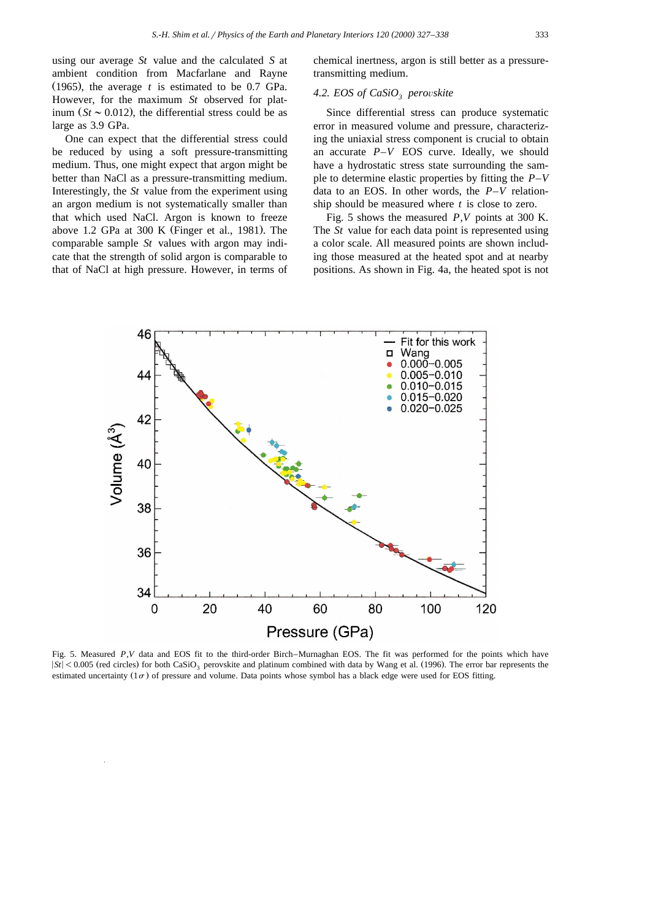using our average *St* value and the calculated *S* at ambient condition from Macfarlane and Rayne  $(1965)$ , the average *t* is estimated to be 0.7 GPa. However, for the maximum *St* observed for platinum  $(S_t \sim 0.012)$ , the differential stress could be as large as 3.9 GPa.

One can expect that the differential stress could be reduced by using a soft pressure-transmitting medium. Thus, one might expect that argon might be better than NaCl as a pressure-transmitting medium. Interestingly, the *St* value from the experiment using an argon medium is not systematically smaller than that which used NaCl. Argon is known to freeze above 1.2 GPa at 300 K (Finger et al., 1981). The comparable sample *St* values with argon may indicate that the strength of solid argon is comparable to that of NaCl at high pressure. However, in terms of

chemical inertness, argon is still better as a pressuretransmitting medium.

### 4.2. EOS of CaSiO<sub>3</sub> perovskite

Since differential stress can produce systematic error in measured volume and pressure, characterizing the uniaxial stress component is crucial to obtain an accurate *P*–*V* EOS curve. Ideally, we should have a hydrostatic stress state surrounding the sample to determine elastic properties by fitting the *P*–*V* data to an EOS. In other words, the *P*–*V* relationship should be measured where *t* is close to zero.

Fig. 5 shows the measured *P*,*V* points at 300 K. The *St* value for each data point is represented using a color scale. All measured points are shown including those measured at the heated spot and at nearby positions. As shown in Fig. 4a, the heated spot is not



Fig. 5. Measured *P*,*V* data and EOS fit to the third-order Birch–Murnaghan EOS. The fit was performed for the points which have  $|St|$  < 0.005 (red circles) for both CaSiO<sub>3</sub> perovskite and platinum combined with data by Wang et al. (1996). The error bar represents the estimated uncertainty  $(1\sigma)$  of pressure and volume. Data points whose symbol has a black edge were used for EOS fitting.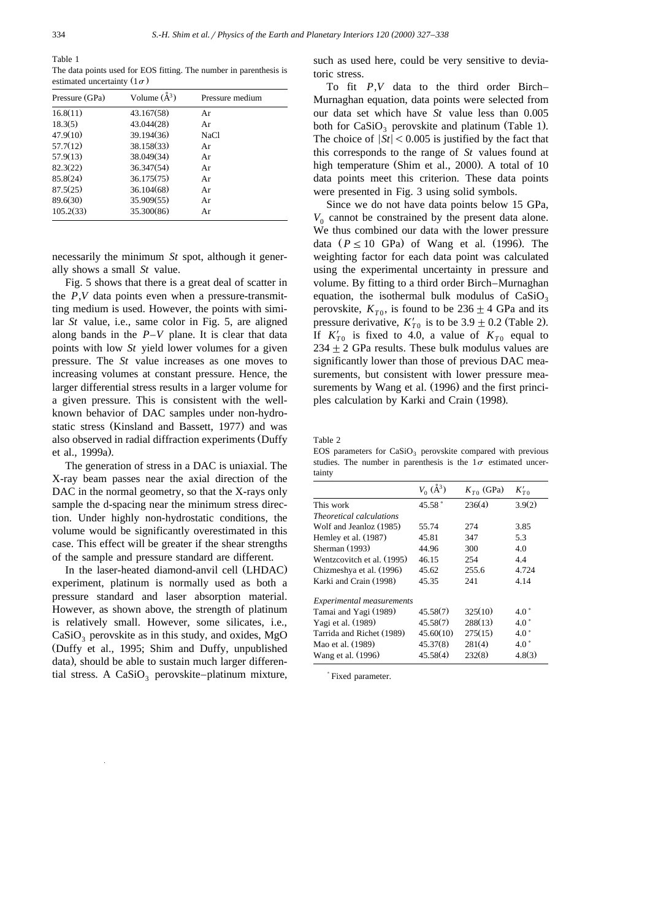Table 1

The data points used for EOS fitting. The number in parenthesis is estimated uncertainty  $(1\sigma)$ 

| Pressure (GPa) | Volume $(\AA^3)$ | Pressure medium |
|----------------|------------------|-----------------|
| 16.8(11)       | 43.167(58)       | Ar              |
| 18.3(5)        | 43.044(28)       | Ar              |
| 47.9(10)       | 39.194(36)       | NaCl            |
| 57.7(12)       | 38.158(33)       | Ar              |
| 57.9(13)       | 38.049(34)       | Ar              |
| 82.3(22)       | 36.347(54)       | Ar              |
| 85.8(24)       | 36.175(75)       | Ar              |
| 87.5(25)       | 36.104(68)       | Ar              |
| 89.6(30)       | 35.909(55)       | Ar              |
| 105.2(33)      | 35.300(86)       | Ar              |

necessarily the minimum *St* spot, although it generally shows a small *St* value.

Fig. 5 shows that there is a great deal of scatter in the *P*,*V* data points even when a pressure-transmitting medium is used. However, the points with similar *St* value, i.e., same color in Fig. 5, are aligned along bands in the *P*–*V* plane. It is clear that data points with low *St* yield lower volumes for a given pressure. The *St* value increases as one moves to increasing volumes at constant pressure. Hence, the larger differential stress results in a larger volume for a given pressure. This is consistent with the wellknown behavior of DAC samples under non-hydrostatic stress (Kinsland and Bassett, 1977) and was also observed in radial diffraction experiments (Duffy et al., 1999a).

The generation of stress in a DAC is uniaxial. The X-ray beam passes near the axial direction of the DAC in the normal geometry, so that the X-rays only sample the d-spacing near the minimum stress direction. Under highly non-hydrostatic conditions, the volume would be significantly overestimated in this case. This effect will be greater if the shear strengths of the sample and pressure standard are different.

In the laser-heated diamond-anvil cell (LHDAC) experiment, platinum is normally used as both a pressure standard and laser absorption material. However, as shown above, the strength of platinum is relatively small. However, some silicates, i.e.,  $CaSiO<sub>3</sub>$  perovskite as in this study, and oxides, MgO (Duffy et al., 1995; Shim and Duffy, unpublished data), should be able to sustain much larger differential stress. A  $CaSiO<sub>3</sub>$  perovskite–platinum mixture,

such as used here, could be very sensitive to deviatoric stress.

To fit *P*,*V* data to the third order Birch– Murnaghan equation, data points were selected from our data set which have *St* value less than 0.005 both for  $CaSiO<sub>3</sub>$  perovskite and platinum (Table 1). The choice of  $|St| < 0.005$  is justified by the fact that this corresponds to the range of *St* values found at high temperature (Shim et al., 2000). A total of  $10$ data points meet this criterion. These data points were presented in Fig. 3 using solid symbols.

Since we do not have data points below 15 GPa,  $V_0$  cannot be constrained by the present data alone. We thus combined our data with the lower pressure data  $(P \le 10$  GPa) of Wang et al. (1996). The weighting factor for each data point was calculated using the experimental uncertainty in pressure and volume. By fitting to a third order Birch–Murnaghan equation, the isothermal bulk modulus of  $CaSiO_3$  perovskite,  $K_{T0}$ , is found to be  $236 \pm 4$  GPa and its pressure derivative,  $K'_{T0}$  is to be 3.9  $\pm$  0.2 (Table 2). If  $K'_{T0}$  is fixed to 4.0, a value of  $K_{T0}$  equal to  $234 \pm 2$  GPa results. These bulk modulus values are significantly lower than those of previous DAC measurements, but consistent with lower pressure measurements by Wang et al. (1996) and the first principles calculation by Karki and Crain (1998).

Table 2

EOS parameters for  $CaSiO<sub>2</sub>$  perovskite compared with previous studies. The number in parenthesis is the  $1\sigma$  estimated uncertainty

|                                  | $V_0(\AA^3)$ | $K_{T0}$ (GPa) | $K_{T0}'$ |  |
|----------------------------------|--------------|----------------|-----------|--|
|                                  |              |                |           |  |
| This work                        | $45.58*$     | 236(4)         | 3.9(2)    |  |
| <i>Theoretical calculations</i>  |              |                |           |  |
| Wolf and Jeanloz (1985)          | 55.74        | 274            | 3.85      |  |
| Hemley et al. (1987)             | 45.81        | 347            | 5.3       |  |
| Sherman (1993)                   | 44.96        | 300            | 4.0       |  |
| Wentzcovitch et al. (1995)       | 46.15        | 254            | 4.4       |  |
| Chizmeshya et al. (1996)         | 45.62        | 255.6          | 4.724     |  |
| Karki and Crain (1998)           | 45.35        | 241            | 4.14      |  |
| <b>Experimental measurements</b> |              |                |           |  |
| Tamai and Yagi (1989)            | 45.58(7)     | 325(10)        | $4.0*$    |  |
| Yagi et al. (1989)               | 45.58(7)     | 288(13)        | $4.0*$    |  |
| Tarrida and Richet (1989)        | 45.60(10)    | 275(15)        | $4.0*$    |  |
| Mao et al. (1989)                | 45.37(8)     | 281(4)         | $4.0*$    |  |
| Wang et al. (1996)               | 45.58(4)     | 232(8)         | 4.8(3)    |  |

) Fixed parameter.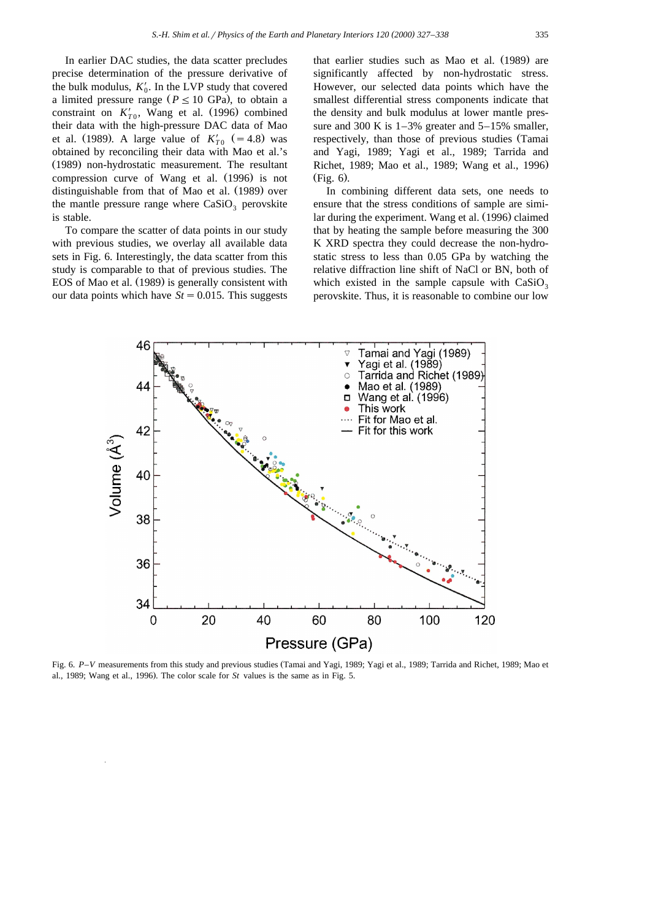In earlier DAC studies, the data scatter precludes precise determination of the pressure derivative of the bulk modulus,  $K'_0$ . In the LVP study that covered a limited pressure range ( $P \le 10$  GPa), to obtain a constraint on  $K_{T_0}$ , Wang et al. (1996) combined their data with the high-pressure DAC data of Mao et al. (1989). A large value of  $K'_{T0}$  (= 4.8) was obtained by reconciling their data with Mao et al.'s (1989) non-hydrostatic measurement. The resultant compression curve of Wang et al. (1996) is not distinguishable from that of Mao et al. (1989) over the mantle pressure range where  $CaSiO<sub>3</sub>$  perovskite is stable.

To compare the scatter of data points in our study with previous studies, we overlay all available data sets in Fig. 6. Interestingly, the data scatter from this study is comparable to that of previous studies. The EOS of Mao et al. (1989) is generally consistent with our data points which have  $St = 0.015$ . This suggests that earlier studies such as Mao et al. (1989) are significantly affected by non-hydrostatic stress. However, our selected data points which have the smallest differential stress components indicate that the density and bulk modulus at lower mantle pressure and 300 K is  $1-3\%$  greater and  $5-15\%$  smaller, respectively, than those of previous studies (Tamai and Yagi, 1989; Yagi et al., 1989; Tarrida and Richet, 1989; Mao et al., 1989; Wang et al., 1996.  $(Fig. 6)$ .

In combining different data sets, one needs to ensure that the stress conditions of sample are similar during the experiment. Wang et al. (1996) claimed that by heating the sample before measuring the 300 K XRD spectra they could decrease the non-hydrostatic stress to less than 0.05 GPa by watching the relative diffraction line shift of NaCl or BN, both of which existed in the sample capsule with  $CaSiO<sub>3</sub>$ perovskite. Thus, it is reasonable to combine our low



Fig. 6. P–V measurements from this study and previous studies (Tamai and Yagi, 1989; Yagi et al., 1989; Tarrida and Richet, 1989; Mao et al., 1989; Wang et al., 1996). The color scale for St values is the same as in Fig. 5.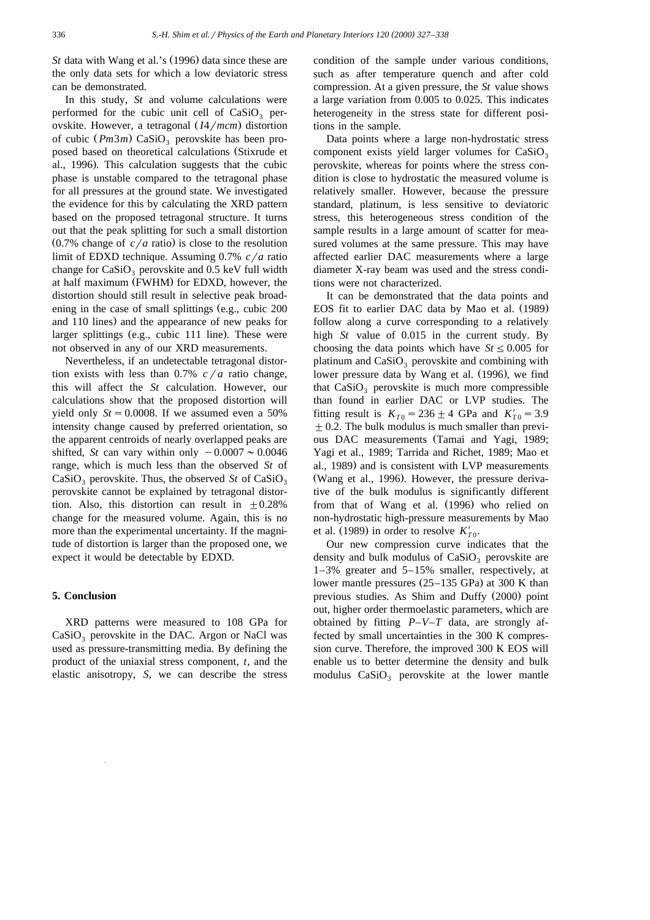*St* data with Wang et al.'s (1996) data since these are the only data sets for which a low deviatoric stress can be demonstrated.

In this study, *St* and volume calculations were performed for the cubic unit cell of  $CaSiO<sub>3</sub>$  perovskite. However, a tetragonal  $(I4/mcm)$  distortion of cubic (*Pm3m*) CaSiO<sub>3</sub> perovskite has been proposed based on theoretical calculations (Stixrude et al., 1996). This calculation suggests that the cubic phase is unstable compared to the tetragonal phase for all pressures at the ground state. We investigated the evidence for this by calculating the XRD pattern based on the proposed tetragonal structure. It turns out that the peak splitting for such a small distortion  $(0.7\%$  change of  $c/a$  ratio) is close to the resolution limit of EDXD technique. Assuming 0.7% *c*/*a* ratio change for  $CaSiO<sub>3</sub>$  perovskite and 0.5 keV full width at half maximum (FWHM) for EDXD, however, the distortion should still result in selective peak broadening in the case of small splittings (e.g., cubic  $200$ and 110 lines) and the appearance of new peaks for larger splittings (e.g., cubic 111 line). These were not observed in any of our XRD measurements.

Nevertheless, if an undetectable tetragonal distortion exists with less than 0.7%  $c/a$  ratio change, this will affect the *St* calculation. However, our calculations show that the proposed distortion will yield only  $St = 0.0008$ . If we assumed even a 50% intensity change caused by preferred orientation, so the apparent centroids of nearly overlapped peaks are shifted, *St* can vary within only  $-0.0007 \approx 0.0046$ range, which is much less than the observed *St* of CaSiO<sub>3</sub> perovskite. Thus, the observed St of CaSiO<sub>3</sub> perovskite cannot be explained by tetragonal distortion. Also, this distortion can result in  $\pm 0.28\%$ change for the measured volume. Again, this is no more than the experimental uncertainty. If the magnitude of distortion is larger than the proposed one, we expect it would be detectable by EDXD.

## **5. Conclusion**

XRD patterns were measured to 108 GPa for  $CaSiO<sub>3</sub>$  perovskite in the DAC. Argon or NaCl was used as pressure-transmitting media. By defining the product of the uniaxial stress component, *t*, and the elastic anisotropy, *S*, we can describe the stress condition of the sample under various conditions, such as after temperature quench and after cold compression. At a given pressure, the *St* value shows a large variation from 0.005 to 0.025. This indicates heterogeneity in the stress state for different positions in the sample.

Data points where a large non-hydrostatic stress component exists yield larger volumes for  $CaSiO<sub>3</sub>$ perovskite, whereas for points where the stress condition is close to hydrostatic the measured volume is relatively smaller. However, because the pressure standard, platinum, is less sensitive to deviatoric stress, this heterogeneous stress condition of the sample results in a large amount of scatter for measured volumes at the same pressure. This may have affected earlier DAC measurements where a large diameter X-ray beam was used and the stress conditions were not characterized.

It can be demonstrated that the data points and EOS fit to earlier DAC data by Mao et al. (1989) follow along a curve corresponding to a relatively high *St* value of 0.015 in the current study. By choosing the data points which have  $St \leq 0.005$  for platinum and  $CaSiO<sub>3</sub>$  perovskite and combining with lower pressure data by Wang et al. (1996), we find that  $CaSiO<sub>3</sub>$  perovskite is much more compressible than found in earlier DAC or LVP studies. The fitting result is  $K_{T0} = 236 \pm 4$  GPa and  $K'_{T0} = 3.9$  $\pm$  0.2. The bulk modulus is much smaller than previous DAC measurements (Tamai and Yagi, 1989; Yagi et al., 1989; Tarrida and Richet, 1989; Mao et al., 1989) and is consistent with LVP measurements (Wang et al., 1996). However, the pressure derivative of the bulk modulus is significantly different from that of Wang et al. (1996) who relied on non-hydrostatic high-pressure measurements by Mao et al. (1989) in order to resolve  $K'_{T0}$ .

Our new compression curve indicates that the density and bulk modulus of  $CaSiO<sub>3</sub>$  perovskite are 1–3% greater and 5–15% smaller, respectively, at lower mantle pressures  $(25-135 \text{ GPa})$  at 300 K than previous studies. As Shim and Duffy (2000) point out, higher order thermoelastic parameters, which are obtained by fitting *P*–*V*–*T* data, are strongly affected by small uncertainties in the 300 K compression curve. Therefore, the improved 300 K EOS will enable us to better determine the density and bulk modulus  $CaSiO<sub>3</sub>$  perovskite at the lower mantle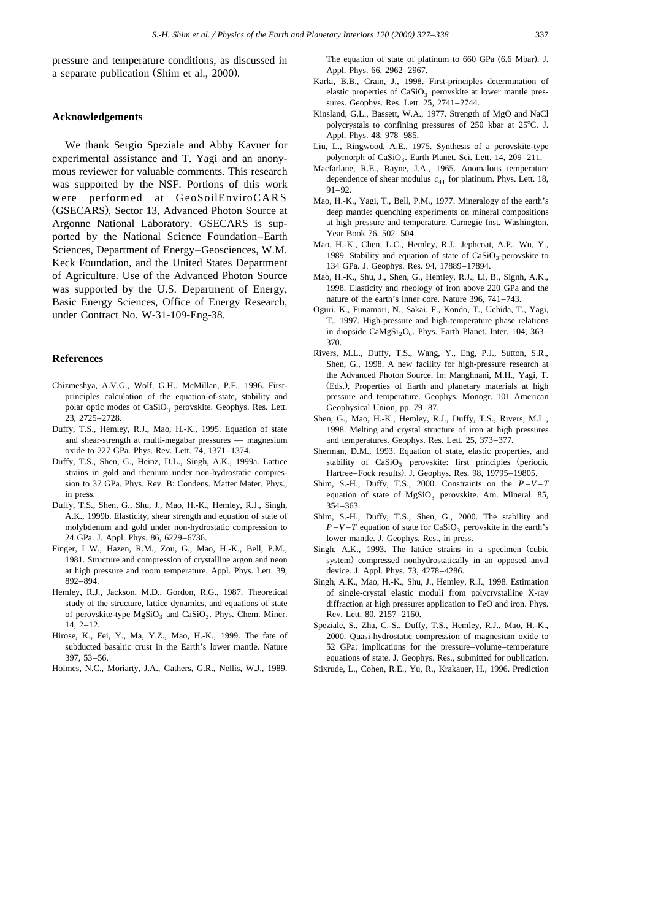pressure and temperature conditions, as discussed in a separate publication (Shim et al., 2000).

#### **Acknowledgements**

We thank Sergio Speziale and Abby Kavner for experimental assistance and T. Yagi and an anonymous reviewer for valuable comments. This research was supported by the NSF. Portions of this work were performed at GeoSoilEnviroCARS (GSECARS), Sector 13, Advanced Photon Source at Argonne National Laboratory. GSECARS is supported by the National Science Foundation–Earth Sciences, Department of Energy–Geosciences, W.M. Keck Foundation, and the United States Department of Agriculture. Use of the Advanced Photon Source was supported by the U.S. Department of Energy, Basic Energy Sciences, Office of Energy Research, under Contract No. W-31-109-Eng-38.

#### **References**

- Chizmeshya, A.V.G., Wolf, G.H., McMillan, P.F., 1996. Firstprinciples calculation of the equation-of-state, stability and polar optic modes of CaSiO<sub>3</sub> perovskite. Geophys. Res. Lett. 23, 2725–2728.
- Duffy, T.S., Hemley, R.J., Mao, H.-K., 1995. Equation of state and shear-strength at multi-megabar pressures — magnesium oxide to 227 GPa. Phys. Rev. Lett. 74, 1371–1374.
- Duffy, T.S., Shen, G., Heinz, D.L., Singh, A.K., 1999a. Lattice strains in gold and rhenium under non-hydrostatic compression to 37 GPa. Phys. Rev. B: Condens. Matter Mater. Phys., in press.
- Duffy, T.S., Shen, G., Shu, J., Mao, H.-K., Hemley, R.J., Singh, A.K., 1999b. Elasticity, shear strength and equation of state of molybdenum and gold under non-hydrostatic compression to 24 GPa. J. Appl. Phys. 86, 6229–6736.
- Finger, L.W., Hazen, R.M., Zou, G., Mao, H.-K., Bell, P.M., 1981. Structure and compression of crystalline argon and neon at high pressure and room temperature. Appl. Phys. Lett. 39, 892–894.
- Hemley, R.J., Jackson, M.D., Gordon, R.G., 1987. Theoretical study of the structure, lattice dynamics, and equations of state of perovskite-type  $MgSiO<sub>3</sub>$  and  $CaSiO<sub>3</sub>$ . Phys. Chem. Miner. 14, 2–12.
- Hirose, K., Fei, Y., Ma, Y.Z., Mao, H.-K., 1999. The fate of subducted basaltic crust in the Earth's lower mantle. Nature 397, 53–56.
- Holmes, N.C., Moriarty, J.A., Gathers, G.R., Nellis, W.J., 1989.

The equation of state of platinum to 660 GPa (6.6 Mbar). J. Appl. Phys. 66, 2962–2967.

- Karki, B.B., Crain, J., 1998. First-principles determination of elastic properties of  $CaSiO<sub>3</sub>$  perovskite at lower mantle pressures. Geophys. Res. Lett. 25, 2741–2744.
- Kinsland, G.L., Bassett, W.A., 1977. Strength of MgO and NaCl polycrystals to confining pressures of  $250$  kbar at  $25^{\circ}$ C. J. Appl. Phys. 48, 978–985.
- Liu, L., Ringwood, A.E., 1975. Synthesis of a perovskite-type polymorph of  $CaSiO<sub>3</sub>$ . Earth Planet. Sci. Lett. 14, 209–211.
- Macfarlane, R.E., Rayne, J.A., 1965. Anomalous temperature dependence of shear modulus  $c_{44}$  for platinum. Phys. Lett. 18, 91–92.
- Mao, H.-K., Yagi, T., Bell, P.M., 1977. Mineralogy of the earth's deep mantle: quenching experiments on mineral compositions at high pressure and temperature. Carnegie Inst. Washington, Year Book 76, 502–504.
- Mao, H.-K., Chen, L.C., Hemley, R.J., Jephcoat, A.P., Wu, Y., 1989. Stability and equation of state of  $CaSiO<sub>3</sub>$ -perovskite to 134 GPa. J. Geophys. Res. 94, 17889–17894.
- Mao, H.-K., Shu, J., Shen, G., Hemley, R.J., Li, B., Signh, A.K., 1998. Elasticity and rheology of iron above 220 GPa and the nature of the earth's inner core. Nature 396, 741–743.
- Oguri, K., Funamori, N., Sakai, F., Kondo, T., Uchida, T., Yagi, T., 1997. High-pressure and high-temperature phase relations in diopside CaMgSi<sub>2</sub>O<sub>6</sub>. Phys. Earth Planet. Inter. 104, 363– 370.
- Rivers, M.L., Duffy, T.S., Wang, Y., Eng, P.J., Sutton, S.R., Shen, G., 1998. A new facility for high-pressure research at the Advanced Photon Source. In: Manghnani, M.H., Yagi, T. (Eds.), Properties of Earth and planetary materials at high pressure and temperature. Geophys. Monogr. 101 American Geophysical Union, pp. 79–87.
- Shen, G., Mao, H.-K., Hemley, R.J., Duffy, T.S., Rivers, M.L., 1998. Melting and crystal structure of iron at high pressures and temperatures. Geophys. Res. Lett. 25, 373–377.
- Sherman, D.M., 1993. Equation of state, elastic properties, and stability of  $CaSiO<sub>3</sub>$  perovskite: first principles (periodic Hartree–Fock results). J. Geophys. Res. 98, 19795–19805.
- Shim, S.-H., Duffy, T.S., 2000. Constraints on the  $P-V-T$ equation of state of  $MgSiO<sub>3</sub>$  perovskite. Am. Mineral. 85, 354–363.
- Shim, S.-H., Duffy, T.S., Shen, G., 2000. The stability and  $P - V - T$  equation of state for CaSiO<sub>3</sub> perovskite in the earth's lower mantle. J. Geophys. Res., in press.
- Singh, A.K., 1993. The lattice strains in a specimen (cubic system) compressed nonhydrostatically in an opposed anvil device. J. Appl. Phys. 73, 4278–4286.
- Singh, A.K., Mao, H.-K., Shu, J., Hemley, R.J., 1998. Estimation of single-crystal elastic moduli from polycrystalline X-ray diffraction at high pressure: application to FeO and iron. Phys. Rev. Lett. 80, 2157–2160.
- Speziale, S., Zha, C.-S., Duffy, T.S., Hemley, R.J., Mao, H.-K., 2000. Quasi-hydrostatic compression of magnesium oxide to 52 GPa: implications for the pressure–volume–temperature equations of state. J. Geophys. Res., submitted for publication.
- Stixrude, L., Cohen, R.E., Yu, R., Krakauer, H., 1996. Prediction